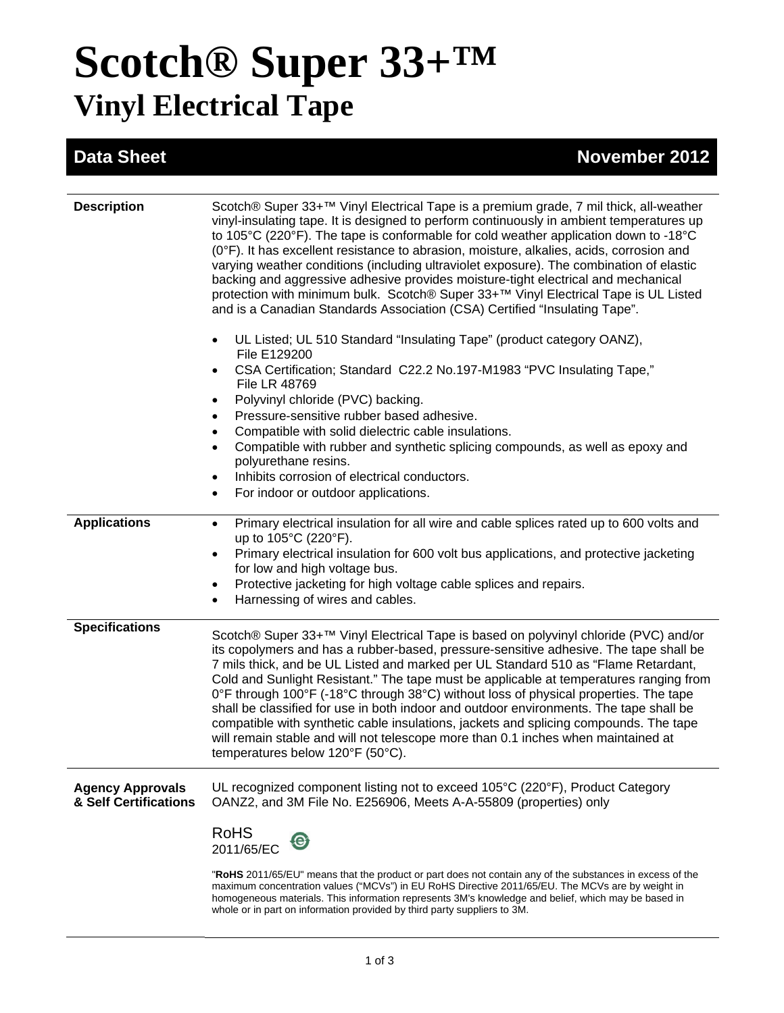# **Scotch® Super 33+™ Vinyl Electrical Tape**

## **Data Sheet November 2012**

| <b>Description</b>                               | Scotch® Super 33+ <sup>™</sup> Vinyl Electrical Tape is a premium grade, 7 mil thick, all-weather<br>vinyl-insulating tape. It is designed to perform continuously in ambient temperatures up<br>to 105°C (220°F). The tape is conformable for cold weather application down to -18°C<br>(0°F). It has excellent resistance to abrasion, moisture, alkalies, acids, corrosion and<br>varying weather conditions (including ultraviolet exposure). The combination of elastic<br>backing and aggressive adhesive provides moisture-tight electrical and mechanical<br>protection with minimum bulk. Scotch® Super 33+™ Vinyl Electrical Tape is UL Listed<br>and is a Canadian Standards Association (CSA) Certified "Insulating Tape".                                        |
|--------------------------------------------------|-------------------------------------------------------------------------------------------------------------------------------------------------------------------------------------------------------------------------------------------------------------------------------------------------------------------------------------------------------------------------------------------------------------------------------------------------------------------------------------------------------------------------------------------------------------------------------------------------------------------------------------------------------------------------------------------------------------------------------------------------------------------------------|
|                                                  | UL Listed; UL 510 Standard "Insulating Tape" (product category OANZ),<br>File E129200<br>CSA Certification; Standard C22.2 No.197-M1983 "PVC Insulating Tape,"                                                                                                                                                                                                                                                                                                                                                                                                                                                                                                                                                                                                                |
|                                                  | File LR 48769<br>Polyvinyl chloride (PVC) backing.<br>Pressure-sensitive rubber based adhesive.                                                                                                                                                                                                                                                                                                                                                                                                                                                                                                                                                                                                                                                                               |
|                                                  | Compatible with solid dielectric cable insulations.<br>Compatible with rubber and synthetic splicing compounds, as well as epoxy and<br>polyurethane resins.<br>Inhibits corrosion of electrical conductors.<br>For indoor or outdoor applications.                                                                                                                                                                                                                                                                                                                                                                                                                                                                                                                           |
| <b>Applications</b>                              | Primary electrical insulation for all wire and cable splices rated up to 600 volts and<br>$\bullet$<br>up to 105°C (220°F).<br>Primary electrical insulation for 600 volt bus applications, and protective jacketing<br>for low and high voltage bus.<br>Protective jacketing for high voltage cable splices and repairs.<br>Harnessing of wires and cables.                                                                                                                                                                                                                                                                                                                                                                                                                  |
| <b>Specifications</b>                            | Scotch® Super 33+ <sup>™</sup> Vinyl Electrical Tape is based on polyvinyl chloride (PVC) and/or<br>its copolymers and has a rubber-based, pressure-sensitive adhesive. The tape shall be<br>7 mils thick, and be UL Listed and marked per UL Standard 510 as "Flame Retardant,<br>Cold and Sunlight Resistant." The tape must be applicable at temperatures ranging from<br>0°F through 100°F (-18°C through 38°C) without loss of physical properties. The tape<br>shall be classified for use in both indoor and outdoor environments. The tape shall be<br>compatible with synthetic cable insulations, jackets and splicing compounds. The tape<br>will remain stable and will not telescope more than 0.1 inches when maintained at<br>temperatures below 120°F (50°C). |
| <b>Agency Approvals</b><br>& Self Certifications | UL recognized component listing not to exceed 105°C (220°F), Product Category<br>OANZ2, and 3M File No. E256906, Meets A-A-55809 (properties) only                                                                                                                                                                                                                                                                                                                                                                                                                                                                                                                                                                                                                            |
|                                                  | <b>RoHS</b><br><b>(e)</b><br>2011/65/EC                                                                                                                                                                                                                                                                                                                                                                                                                                                                                                                                                                                                                                                                                                                                       |
|                                                  | "RoHS 2011/65/EU" means that the product or part does not contain any of the substances in excess of the<br>maximum concentration values ("MCVs") in EU RoHS Directive 2011/65/EU. The MCVs are by weight in<br>homogeneous materials. This information represents 3M's knowledge and belief, which may be based in                                                                                                                                                                                                                                                                                                                                                                                                                                                           |

whole or in part on information provided by third party suppliers to 3M.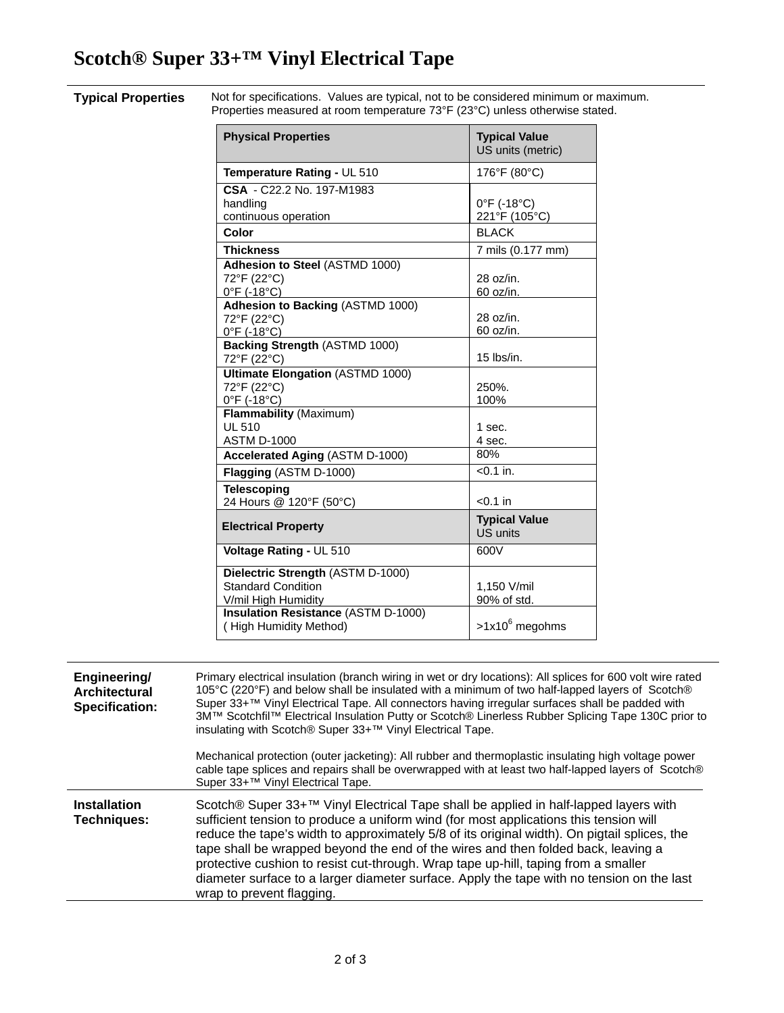# **Scotch® Super 33+™ Vinyl Electrical Tape**

**Typical Properties** Not for specifications. Values are typical, not to be considered minimum or maximum. Properties measured at room temperature 73°F (23°C) unless otherwise stated.

| <b>Physical Properties</b>                                                                                                   | <b>Typical Value</b><br>US units (metric)    |
|------------------------------------------------------------------------------------------------------------------------------|----------------------------------------------|
| Temperature Rating - UL 510                                                                                                  | 176°F (80°C)                                 |
| CSA - C22.2 No. 197-M1983<br>handling<br>continuous operation<br>Color                                                       | 0°F (-18°C)<br>221°F (105°C)<br><b>BLACK</b> |
| <b>Thickness</b>                                                                                                             | 7 mils (0.177 mm)                            |
| Adhesion to Steel (ASTMD 1000)<br>72°F (22°C)<br>$0^{\circ}$ F (-18 $^{\circ}$ C)<br>Adhesion to Backing (ASTMD 1000)        | $28 \text{ oz/in}$ .<br>60 oz/in.            |
| 72°F (22°C)<br>$0^{\circ}$ F (-18 $^{\circ}$ C)                                                                              | $28$ oz/in.<br>60 oz/in.                     |
| Backing Strength (ASTMD 1000)<br>72°F (22°C)                                                                                 | $15$ lbs/in.                                 |
| <b>Ultimate Elongation (ASTMD 1000)</b><br>72°F (22°C)<br>$0^{\circ}$ F (-18 $^{\circ}$ C)                                   | 250%.<br>100%                                |
| Flammability (Maximum)<br><b>UL 510</b><br><b>ASTM D-1000</b>                                                                | 1 sec.<br>4 sec.                             |
| Accelerated Aging (ASTM D-1000)                                                                                              | 80%                                          |
| Flagging (ASTM D-1000)                                                                                                       | $< 0.1$ in.                                  |
| <b>Telescoping</b><br>24 Hours @ 120°F (50°C)                                                                                | $< 0.1$ in                                   |
| <b>Electrical Property</b>                                                                                                   | <b>Typical Value</b><br><b>US units</b>      |
| Voltage Rating - UL 510                                                                                                      | 600V                                         |
| Dielectric Strength (ASTM D-1000)<br>Standard Condition<br>V/mil High Humidity<br><b>Insulation Resistance (ASTM D-1000)</b> | 1,150 V/mil<br>90% of std.                   |
| (High Humidity Method)                                                                                                       | $>1x10^6$ megohms                            |

| Engineering/<br>Architectural<br><b>Specification:</b> | Primary electrical insulation (branch wiring in wet or dry locations): All splices for 600 volt wire rated<br>105°C (220°F) and below shall be insulated with a minimum of two half-lapped layers of Scotch®<br>Super 33+™ Vinyl Electrical Tape. All connectors having irregular surfaces shall be padded with<br>3M™ Scotchfil™ Electrical Insulation Putty or Scotch® Linerless Rubber Splicing Tape 130C prior to<br>insulating with Scotch® Super 33+™ Vinyl Electrical Tape.                                                                                                             |
|--------------------------------------------------------|------------------------------------------------------------------------------------------------------------------------------------------------------------------------------------------------------------------------------------------------------------------------------------------------------------------------------------------------------------------------------------------------------------------------------------------------------------------------------------------------------------------------------------------------------------------------------------------------|
|                                                        | Mechanical protection (outer jacketing): All rubber and thermoplastic insulating high voltage power<br>cable tape splices and repairs shall be overwrapped with at least two half-lapped layers of Scotch®<br>Super 33+™ Vinyl Electrical Tape.                                                                                                                                                                                                                                                                                                                                                |
| <b>Installation</b><br>Techniques:                     | Scotch® Super 33+ <sup>™</sup> Vinyl Electrical Tape shall be applied in half-lapped layers with<br>sufficient tension to produce a uniform wind (for most applications this tension will<br>reduce the tape's width to approximately 5/8 of its original width). On pigtail splices, the<br>tape shall be wrapped beyond the end of the wires and then folded back, leaving a<br>protective cushion to resist cut-through. Wrap tape up-hill, taping from a smaller<br>diameter surface to a larger diameter surface. Apply the tape with no tension on the last<br>wrap to prevent flagging. |